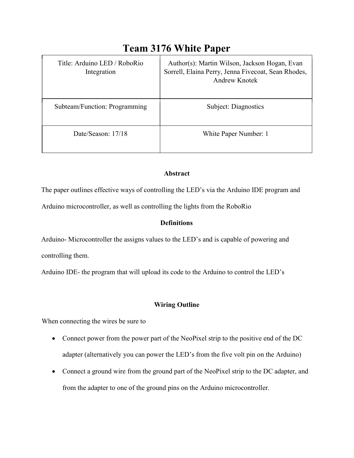| Title: Arduino LED / RoboRio<br>Integration | Author(s): Martin Wilson, Jackson Hogan, Evan<br>Sorrell, Elaina Perry, Jenna Fivecoat, Sean Rhodes,<br><b>Andrew Knotek</b> |
|---------------------------------------------|------------------------------------------------------------------------------------------------------------------------------|
| Subteam/Function: Programming               | Subject: Diagnostics                                                                                                         |
| Date/Season: 17/18                          | White Paper Number: 1                                                                                                        |

# Team 3176 White Paper

## Abstract

The paper outlines effective ways of controlling the LED's via the Arduino IDE program and

Arduino microcontroller, as well as controlling the lights from the RoboRio

# **Definitions**

Arduino- Microcontroller the assigns values to the LED's and is capable of powering and controlling them.

Arduino IDE- the program that will upload its code to the Arduino to control the LED's

# Wiring Outline

When connecting the wires be sure to

- Connect power from the power part of the NeoPixel strip to the positive end of the DC adapter (alternatively you can power the LED's from the five volt pin on the Arduino)
- Connect a ground wire from the ground part of the NeoPixel strip to the DC adapter, and from the adapter to one of the ground pins on the Arduino microcontroller.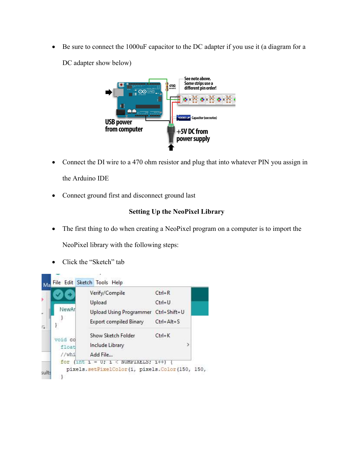Be sure to connect the 1000uF capacitor to the DC adapter if you use it (a diagram for a

DC adapter show below)



- Connect the DI wire to a 470 ohm resistor and plug that into whatever PIN you assign in the Arduino IDE
- Connect ground first and disconnect ground last

# Setting Up the NeoPixel Library

The first thing to do when creating a NeoPixel program on a computer is to import the

NeoPixel library with the following steps:

• Click the "Sketch" tab

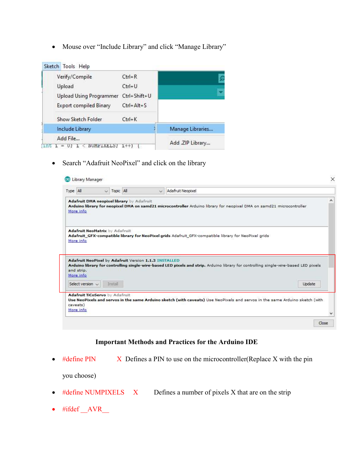Mouse over "Include Library" and click "Manage Library"

|     | Sketch Tools Help              |                  |                  |
|-----|--------------------------------|------------------|------------------|
|     | Verify/Compile                 | $Ctrl + R$       |                  |
|     | Upload                         | $Ctrl+U$         |                  |
|     | <b>Upload Using Programmer</b> | Ctrl+Shift+U     |                  |
|     | Export compiled Binary         | $Ctrl + Alt + S$ |                  |
|     | Show Sketch Folder             | $Ctrl+K$         |                  |
|     | Include Library                |                  | Manage Libraries |
|     | Add File                       |                  | Add .ZIP Library |
| 1nt | NUMPIXELS;                     | $1++$            |                  |

Search "Adafruit NeoPixel" and click on the library

| Type All                                                      |         | Topic All | $\circ$                                               | Adafruit Neopixel                                                                                                                    |        |
|---------------------------------------------------------------|---------|-----------|-------------------------------------------------------|--------------------------------------------------------------------------------------------------------------------------------------|--------|
| Adafruit DMA neopixel library by Adafruit<br>More info        |         |           |                                                       | Arduino library for neopixel DMA on samd21 microcontroller Arduino library for neopixel DMA on samd21 microcontroller                |        |
| Adafruit NeoMatrix by Adafruit                                |         |           |                                                       | Adafruit_GFX-compatible library for NeoPixel grids Adafruit_GFX-compatible library for NeoPixel grids                                |        |
|                                                               |         |           |                                                       |                                                                                                                                      |        |
|                                                               |         |           | Adafruit NeoPixel by Adafruit Version 1.1.3 INSTALLED | Arduino library for controlling single-wire-based LED pixels and strip. Arduino library for controlling single-wire-based LED pixels |        |
| More info<br>and strip.<br>More info<br>Select version $\vee$ | Install |           |                                                       |                                                                                                                                      | Update |

# Important Methods and Practices for the Arduino IDE

 $\bullet$  #define PIN X Defines a PIN to use on the microcontroller(Replace X with the pin

you choose)

- $\bullet$  #define NUMPIXELS  $X$  Defines a number of pixels X that are on the strip
- $\bullet$  #ifdef  $\_\text{AVR}$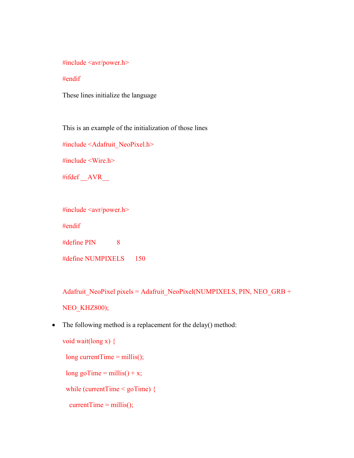### #include <avr/power.h>

#### #endif

These lines initialize the language

This is an example of the initialization of those lines

#include <Adafruit\_NeoPixel.h>

#include <Wire.h>

#ifdef \_\_AVR\_\_

#include <avr/power.h>

#endif

 $\#$ define PIN 8

#define NUMPIXELS 150

Adafruit\_NeoPixel pixels = Adafruit\_NeoPixel(NUMPIXELS, PIN, NEO\_GRB +

NEO\_KHZ800);

• The following method is a replacement for the delay() method:

void wait(long x) { long currentTime =  $m$ illis();

long goTime = millis() + x;

while (currentTime < goTime) {

 $currentTime = millis();$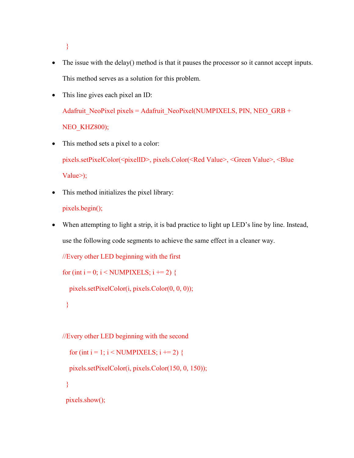}

- The issue with the delay() method is that it pauses the processor so it cannot accept inputs. This method serves as a solution for this problem.
- This line gives each pixel an ID:

Adafruit\_NeoPixel pixels = Adafruit\_NeoPixel(NUMPIXELS, PIN, NEO\_GRB + NEO KHZ800);

- This method sets a pixel to a color: pixels.setPixelColor(<pixelID>, pixels.Color(<Red Value>, <Green Value>, <Blue Value>);
- This method initializes the pixel library:

```
pixels.begin();
```
 When attempting to light a strip, it is bad practice to light up LED's line by line. Instead, use the following code segments to achieve the same effect in a cleaner way.

```
//Every other LED beginning with the first
```

```
for (int i = 0; i < NUMPIXELS; i += 2) {
```

```
 pixels.setPixelColor(i, pixels.Color(0, 0, 0));
```

```
 }
```

```
//Every other LED beginning with the second
```

```
for (int i = 1; i < NUMPIXELS; i += 2) {
```
pixels.setPixelColor(i, pixels.Color(150, 0, 150));

}

pixels.show();